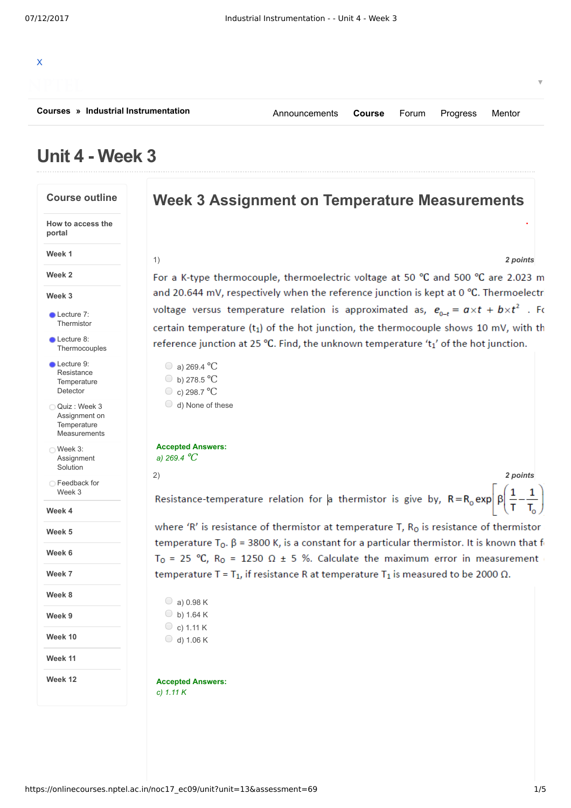# X **[Courses](https://onlinecourses.nptel.ac.in/explorer) » [Industrial Instrumentation](https://onlinecourses.nptel.ac.in/noc17_ec09/course)** [Announcements](https://onlinecourses.nptel.ac.in/noc17_ec09/announcements) **[Course](https://onlinecourses.nptel.ac.in/noc17_ec09/course)** [Forum](https://onlinecourses.nptel.ac.in/noc17_ec09/forum) [Progress](https://onlinecourses.nptel.ac.in/noc17_ec09/student/home) [Mentor](https://onlinecourses.nptel.ac.in/noc17_ec09/student/mentor)

## **Unit 4 - Week 3**

**Course outline How to access the portal Week 1 Week 2 Week 3 Week 4 Week 5 Week 6 Week 7 Week 8 Week 9 Week 10 Week 11 Week 12 Lecture 7:** [Thermistor](https://onlinecourses.nptel.ac.in/noc17_ec09/unit?unit=13&lesson=14) **Lecture 8: [Thermocouples](https://onlinecourses.nptel.ac.in/noc17_ec09/unit?unit=13&lesson=15)** Lecture 9: Resistance **[Temperature](https://onlinecourses.nptel.ac.in/noc17_ec09/unit?unit=13&lesson=16)** Detector Quiz : Week 3 Assignment on **Temperature** [Measurements](https://onlinecourses.nptel.ac.in/noc17_ec09/assessment?name=69) Week 3: **[Assignment](https://onlinecourses.nptel.ac.in/noc17_ec09/unit?unit=13&lesson=77)** Solution [Feedback](https://onlinecourses.nptel.ac.in/noc17_ec09/unit?unit=13&lesson=83) for Week 3

### **Week 3 Assignment on Temperature Measurements**

#### 1) *2 points*

**.**

▼

For a K-type thermocouple, thermoelectric voltage at 50 °C and 500 °C are 2.023 m and 20.644 mV, respectively when the reference junction is kept at 0 °C. Thermoelectri voltage versus temperature relation is approximated as,  $e_{0-t} = a \times t + b \times t^2$ . For certain temperature  $(t_1)$  of the hot junction, the thermocouple shows 10 mV, with th reference junction at 25 °C. Find, the unknown temperature 't1' of the hot junction.

```
\bigcirc a) 269.4 °C
b) 278.5 ℃
c) 298.7 ℃
```

```
\bigcirc d) None of these
```
#### **Accepted Answers:** *a) 269.4* ℃

2) *2 points*

Resistance-temperature relation for a thermistor is give by,  $R = R_0 \exp \left| \beta \right|$ 

where 'R' is resistance of thermistor at temperature T,  $R_0$  is resistance of thermistor temperature  $T_0$ .  $\beta$  = 3800 K, is a constant for a particular thermistor. It is known that for T<sub>0</sub> = 25 °C, R<sub>0</sub> = 1250  $\Omega$  ± 5 %. Calculate the maximum error in measurement temperature T =  $T_1$ , if resistance R at temperature  $T_1$  is measured to be 2000  $\Omega$ .

 $\bigcirc$  a) 0.98 K  $\bigcirc$  b) 1.64 K  $\circ$  c) 1.11 K  $\bigcirc$  d) 1.06 K

**Accepted Answers:** *c) 1.11 K*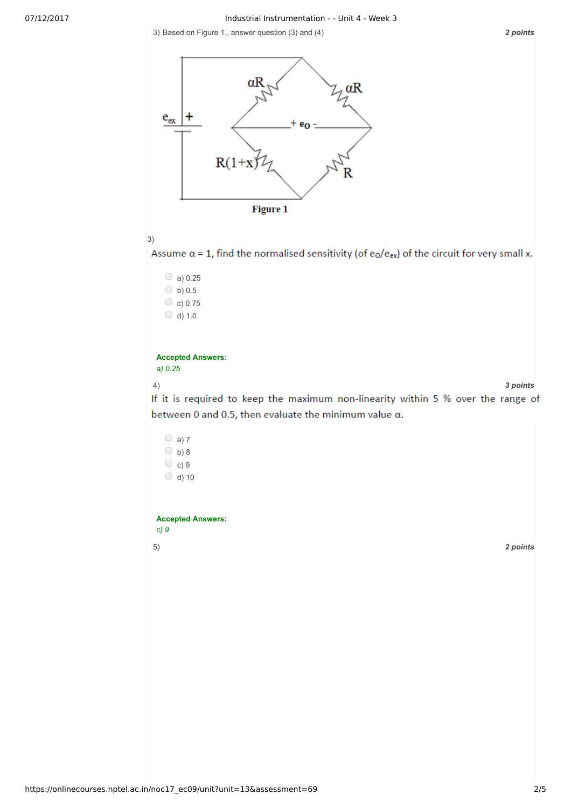07/12/2017 Industrial Instrumentation - - Unit 4 - Week 3

3) *2 points* Based on Figure 1., answer question (3) and (4)







Assume  $\alpha$  = 1, find the normalised sensitivity (of e<sub>0</sub>/e<sub>ex</sub>) of the circuit for very small x.

 $\circ$  a) 0.25  $\circ$  b) 0.5  $\circ$  c) 0.75  $\bigcirc$  d) 1.0

#### **Accepted Answers:** *a) 0.25*

4) *3 points*

If it is required to keep the maximum non-linearity within 5 % over the range of between 0 and 0.5, then evaluate the minimum value  $\alpha$ .

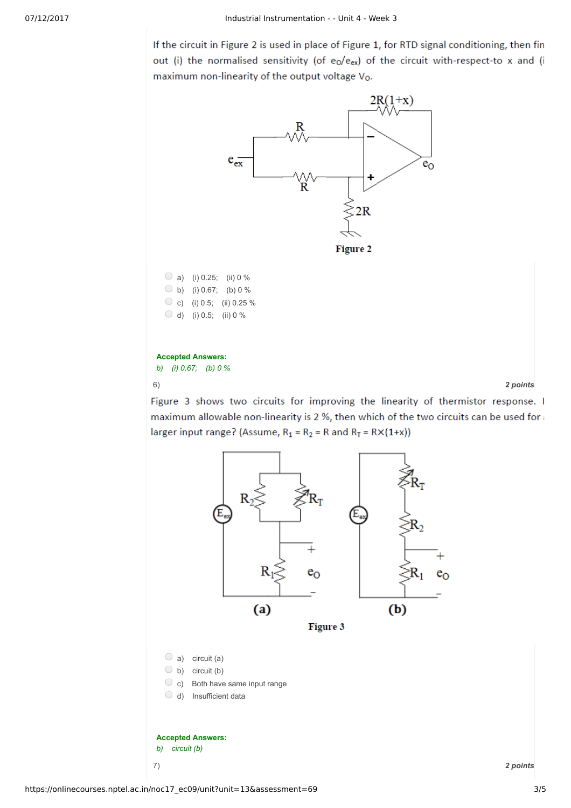If the circuit in Figure 2 is used in place of Figure 1, for RTD signal conditioning, then fin out (i) the normalised sensitivity (of e<sub>0</sub>/e<sub>ex</sub>) of the circuit with-respect-to x and (i maximum non-linearity of the output voltage Vo.



Figure 3 shows two circuits for improving the linearity of thermistor response. I maximum allowable non-linearity is 2 %, then which of the two circuits can be used for larger input range? (Assume,  $R_1 = R_2 = R$  and  $R_T = R \times (1+x)$ )

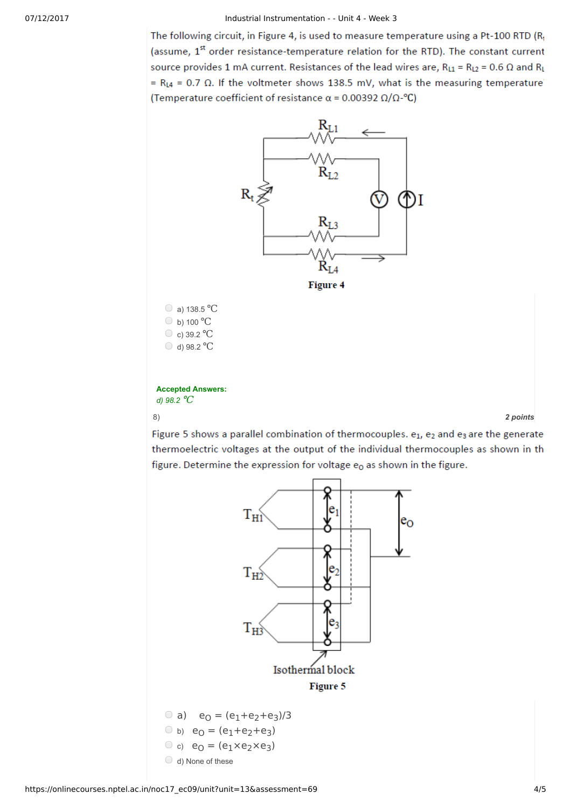#### 07/12/2017 Industrial Instrumentation - - Unit 4 - Week 3

The following circuit, in Figure 4, is used to measure temperature using a Pt-100 RTD (R1 (assume, 1<sup>st</sup> order resistance-temperature relation for the RTD). The constant current source provides 1 mA current. Resistances of the lead wires are,  $R_{L1} = R_{L2} = 0.6 \Omega$  and  $R_L$ =  $R_{L4}$  = 0.7  $\Omega$ . If the voltmeter shows 138.5 mV, what is the measuring temperature (Temperature coefficient of resistance  $\alpha$  = 0.00392  $\Omega/\Omega$ -°C)



Figure 5 shows a parallel combination of thermocouples. e1, e2 and e3 are the generate thermoelectric voltages at the output of the individual thermocouples as shown in th figure. Determine the expression for voltage  $e_0$  as shown in the figure.